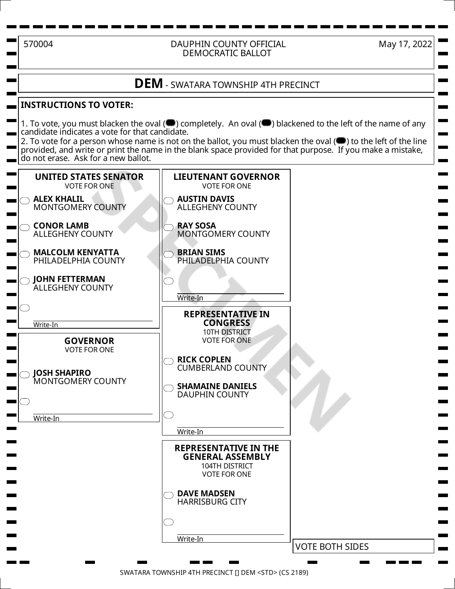## 570004 DAUPHIN COUNTY OFFICIAL DEMOCRATIC BALLOT

May 17, 2022

## **DEM** - SWATARA TOWNSHIP 4TH PRECINCT

## **INSTRUCTIONS TO VOTER:**

1. To vote, you must blacken the oval (**••**) completely. An oval (••) blackened to the left of the name of any candidate indicates a vote for that candidate.

2. To vote for a person whose name is not on the ballot, you must blacken the oval  $($ **)** to the left of the line provided, and write or print the name in the blank space provided for that purpose. If you make a mistake, do not erase. Ask for a new ballot.